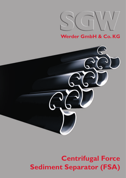

**Werder GmbH & Co. KG**



# **Centrifugal Force Sediment Separator (FSA)**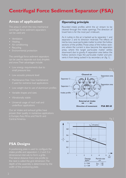## **Centrifugal Force Sediment Separator (FSA)**

### **Areas of application**

The areas in which the new mechanical centrifugal force sediment separators can be used are:

- Ventilation
- 
- 
- **Recycling**
- 

The centrifugal force sediment separators can be used to separate out dust, droplets and snow. Their advantages include:

- Low energy requirements due to
- 
- Maintenance free / low maintenance if used for extreme load applications
- Low weight due to use of aluminium profiles
- Variable shapes and sizes
- Vibrationally stable
- Universal usage of roof, wall and underfloor applications

Our air intake and exhaust grilles have proven their quality in numerous applications in Europe, Asia, Africa and North and Central America.

### **Operating principle**

Rounded intake profiles admit the air stream to be cleaned through the intake openings. The direction of travel here is for the most part irrelevant.

As it rushes in, the air is backed up by separator I and separator 2 and its direction reversed. The effects of inertia now cause particulate matter to enter the hollow sections of the profiles. Those areas of the hollow sections where the current is slow become the separation areas, where the target particulate matter settles downward due to gravity. A separation area below the hollow sections traps the particulate matter and prevents it from being sucked in by secondary air (fig. 1).







### **FSA Designs**

A positioning plate is used to configure the intake profile and separators 1, 2 and 3 in depth of the assembly is determined by the width of the positioning plate.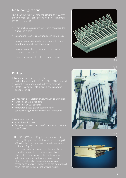### **Grille configurations**

FSA BR 60: Depth  $= 64$  mm, grid dimension  $= 32$  mm,  $choice, T = Division$ 

- Front intake profile, round for 32 mm grid, extruded
- Separators 1 and 2 as extruded aluminium profile
- Separation area optionally with cover, with plugs or without special separation area
- Separation area fixed beneath grille according
- Flange and screw hole patterns by agreement



### **Fittings**

- 1. For use as built-in filter (fig. 13)
- Perforated plate at front (Qg8 DIN 24042) optional
- Gasket (CR-50 Shore), self-adhesive, optional
- Heater (electrical intake profile and separator 1)
- 2. For suction box application, aluminium construction
- 
- Grille in rear wall optional
- Perforated plates, gasket, separator box, soundproofing, heater, flow sensors are optional
- 3. For use as container
- As with suction box
- specification
- 4. The FSA, FSAW and LG grilles can be made into filters by fitting a filter mat downstream of the grille. We offer this configuration in consultation with our

For air duct adaptations we can also manufacture tube attachments to customer specifications. attachment. It is also possible to obtain wire fitted with flat gaskets or other seals/gaskets.



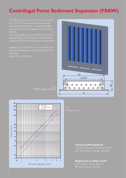## **Centrifugal Force Sediment Separator (FSAW)**

ties of the FSA separator while providing and sand, even when installed in an inclined

This dual-profile separator grille features new guarantee effective and economical application.

Height: Up to 1500 mm, units over 600 mm

Width: Up to 1900 mm



FSAW design inserted



#### **Tested to EN standards**

Technical Research Centre of Finland

#### **Registered as utility model**

with support of the state of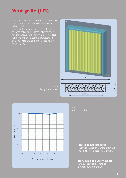## **Vent grille (LG)**

The high stability and mechanical strength nearly 100%.





Water separation

#### **Tested to EN standards**

#### **Registered as a utility model**

with support of the state of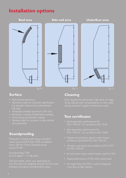## **Installation options**



### **Surface**

- 
- Aluminium paint to customer specification, e.g. epoxide metal primer, polyurethane top coat
- 
- Immersion coating, cathaphoretic painting
- Chromating and powder coating
- Stainless steel for container is plain etched

### **Soundproofing**

sound source, B & K Type 4205, broadband source 95 dB.

Soundproofing / FSA 66 mm depth  $= 1.7$  dB (LIN)

The test results, which vary depending on how the tests are designed, showed normal noise emissions and good soundproofing values.

## **Cleaning**

Only required for particularly high levels of usage. during operator's regular maintenance cycle.

### **Test certificates**

- Sand separation performance for
- Rain separation performance for
- Degree of protection against water impact certified to EN 60529 for FSA / FSA W
- 
- Ice and snow impact when heaters used for FSA
- 
- Air intake flow into FSA in case of tangential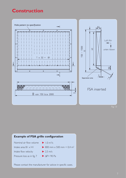## **Construction**



#### **Example of FSA grille configuration**  Nominal air flow volume Intake area B1 x H1 Intake flow velocity Pressure loss as in fig. 7  $\blacktriangleright$  1.0 m<sup>3</sup>/s  $\triangleright$  800 mm  $\times$  500 mm = 0,4 m<sup>2</sup>  $\blacktriangleright$  2.5 m/s  $\blacktriangleright$  ΔP= 90 Pa

Please contact the manufacturer for advice in specific cases.